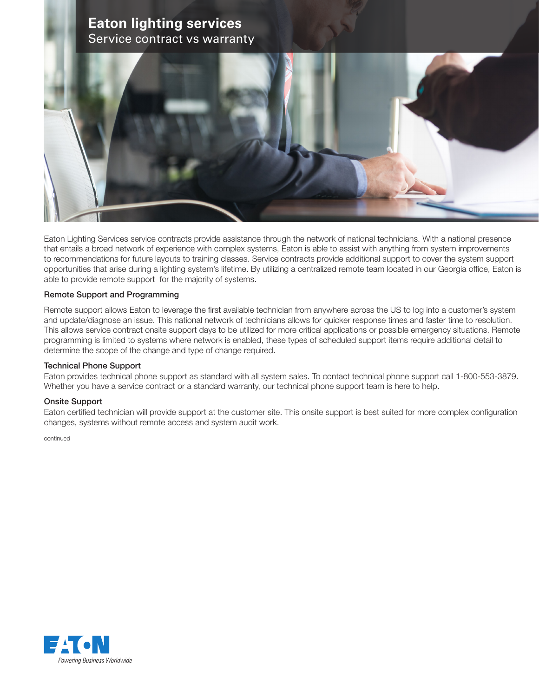# **Eaton lighting services** Service contract vs warranty



Eaton Lighting Services service contracts provide assistance through the network of national technicians. With a national presence that entails a broad network of experience with complex systems, Eaton is able to assist with anything from system improvements to recommendations for future layouts to training classes. Service contracts provide additional support to cover the system support opportunities that arise during a lighting system's lifetime. By utilizing a centralized remote team located in our Georgia office, Eaton is able to provide remote support for the majority of systems.

### Remote Support and Programming

Remote support allows Eaton to leverage the first available technician from anywhere across the US to log into a customer's system and update/diagnose an issue. This national network of technicians allows for quicker response times and faster time to resolution. This allows service contract onsite support days to be utilized for more critical applications or possible emergency situations. Remote programming is limited to systems where network is enabled, these types of scheduled support items require additional detail to determine the scope of the change and type of change required.

### Technical Phone Support

Eaton provides technical phone support as standard with all system sales. To contact technical phone support call 1-800-553-3879. Whether you have a service contract or a standard warranty, our technical phone support team is here to help.

### Onsite Support

Eaton certified technician will provide support at the customer site. This onsite support is best suited for more complex configuration changes, systems without remote access and system audit work.

continued